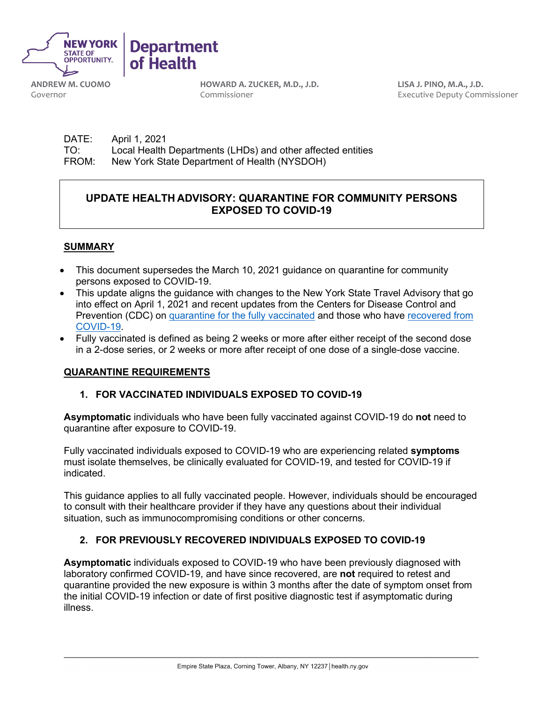

**ANDREW M. CUOMO** Governor

**HOWARD A. ZUCKER, M.D., J.D.** Commissioner

**LISA J. PINO, M.A., J.D.** Executive Deputy Commissioner

DATE: April 1, 2021 TO: Local Health Departments (LHDs) and other affected entities<br>FROM: New York State Department of Health (NYSDOH) New York State Department of Health (NYSDOH)

# **UPDATE HEALTH ADVISORY: QUARANTINE FOR COMMUNITY PERSONS EXPOSED TO COVID-19**

## **SUMMARY**

- This document supersedes the March 10, 2021 guidance on quarantine for community persons exposed to COVID-19.
- This update aligns the guidance with changes to the New York State Travel Advisory that go into effect on April 1, 2021 and recent updates from the Centers for Disease Control and Prevention (CDC) on [quarantine for the fully vaccinated](https://www.cdc.gov/coronavirus/2019-ncov/vaccines/fully-vaccinated-guidance.html#anchor_1615135598178) and those who have [recovered from](https://www.cdc.gov/coronavirus/2019-ncov/php/contact-tracing/contact-tracing-plan/contact-tracing.html#anchor_15900119)  [COVID-19.](https://www.cdc.gov/coronavirus/2019-ncov/php/contact-tracing/contact-tracing-plan/contact-tracing.html#anchor_15900119)
- Fully vaccinated is defined as being 2 weeks or more after either receipt of the second dose in a 2-dose series, or 2 weeks or more after receipt of one dose of a single-dose vaccine.

### **QUARANTINE REQUIREMENTS**

### **1. FOR VACCINATED INDIVIDUALS EXPOSED TO COVID-19**

**Asymptomatic** individuals who have been fully vaccinated against COVID-19 do **not** need to quarantine after exposure to COVID-19.

Fully vaccinated individuals exposed to COVID-19 who are experiencing related **symptoms** must isolate themselves, be clinically evaluated for COVID-19, and tested for COVID-19 if indicated.

This guidance applies to all fully vaccinated people. However, individuals should be encouraged to consult with their healthcare provider if they have any questions about their individual situation, such as immunocompromising conditions or other concerns.

# **2. FOR PREVIOUSLY RECOVERED INDIVIDUALS EXPOSED TO COVID-19**

**Asymptomatic** individuals exposed to COVID-19 who have been previously diagnosed with laboratory confirmed COVID-19, and have since recovered, are **not** required to retest and quarantine provided the new exposure is within 3 months after the date of symptom onset from the initial COVID-19 infection or date of first positive diagnostic test if asymptomatic during illness.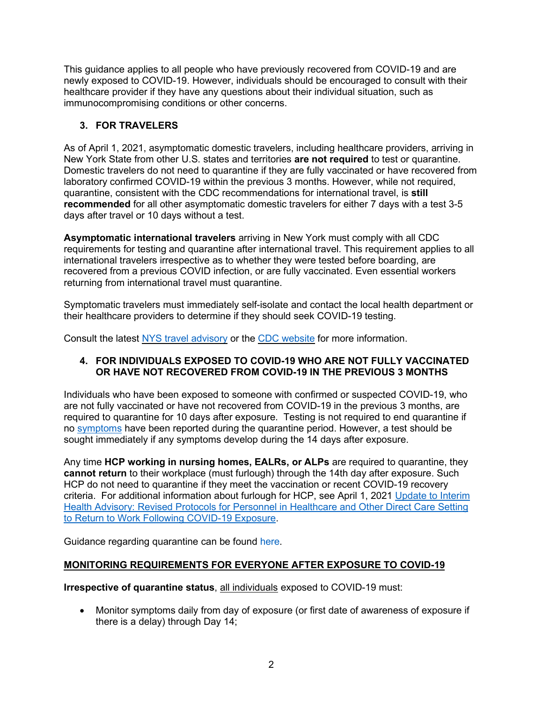This guidance applies to all people who have previously recovered from COVID-19 and are newly exposed to COVID-19. However, individuals should be encouraged to consult with their healthcare provider if they have any questions about their individual situation, such as immunocompromising conditions or other concerns.

# **3. FOR TRAVELERS**

As of April 1, 2021, asymptomatic domestic travelers, including healthcare providers, arriving in New York State from other U.S. states and territories **are not required** to test or quarantine. Domestic travelers do not need to quarantine if they are fully vaccinated or have recovered from laboratory confirmed COVID-19 within the previous 3 months. However, while not required, quarantine, consistent with the CDC recommendations for international travel, is **still recommended** for all other asymptomatic domestic travelers for either 7 days with a test 3-5 days after travel or 10 days without a test.

**Asymptomatic international travelers** arriving in New York must comply with all CDC requirements for testing and quarantine after international travel. This requirement applies to all international travelers irrespective as to whether they were tested before boarding, are recovered from a previous COVID infection, or are fully vaccinated. Even essential workers returning from international travel must quarantine.

Symptomatic travelers must immediately self-isolate and contact the local health department or their healthcare providers to determine if they should seek COVID-19 testing.

Consult the latest [NYS travel advisory](https://coronavirus.health.ny.gov/interim-guidance-quarantine-restrictions-travelers-arriving-new-york-state) or the [CDC website](https://www.cdc.gov/coronavirus/2019-ncov/travelers/index.html) for more information.

## **4. FOR INDIVIDUALS EXPOSED TO COVID-19 WHO ARE NOT FULLY VACCINATED OR HAVE NOT RECOVERED FROM COVID-19 IN THE PREVIOUS 3 MONTHS**

Individuals who have been exposed to someone with confirmed or suspected COVID-19, who are not fully vaccinated or have not recovered from COVID-19 in the previous 3 months, are required to quarantine for 10 days after exposure. Testing is not required to end quarantine if no [symptoms](https://www.cdc.gov/coronavirus/2019-ncov/symptoms-testing/symptoms.html) have been reported during the quarantine period. However, a test should be sought immediately if any symptoms develop during the 14 days after exposure.

Any time **HCP working in nursing homes, EALRs, or ALPs** are required to quarantine, they **cannot return** to their workplace (must furlough) through the 14th day after exposure. Such HCP do not need to quarantine if they meet the vaccination or recent COVID-19 recovery criteria. For additional information about furlough for HCP, see April 1, 2021 [Update to Interim](https://coronavirus.health.ny.gov/update-interim-health-advisory-revised-protocols-personnel-healthcare-and-other-direct-care)  [Health Advisory: Revised Protocols for Personnel in Healthcare and Other Direct Care Setting](https://coronavirus.health.ny.gov/update-interim-health-advisory-revised-protocols-personnel-healthcare-and-other-direct-care)  to Return to [Work Following COVID-19 Exposure.](https://coronavirus.health.ny.gov/update-interim-health-advisory-revised-protocols-personnel-healthcare-and-other-direct-care)

Guidance regarding quarantine can be found [here.](https://coronavirus.health.ny.gov/system/files/documents/2020/03/quarantine_guidance_0.pdf)

# **MONITORING REQUIREMENTS FOR EVERYONE AFTER EXPOSURE TO COVID-19**

**Irrespective of quarantine status**, all individuals exposed to COVID-19 must:

• Monitor symptoms daily from day of exposure (or first date of awareness of exposure if there is a delay) through Day 14;